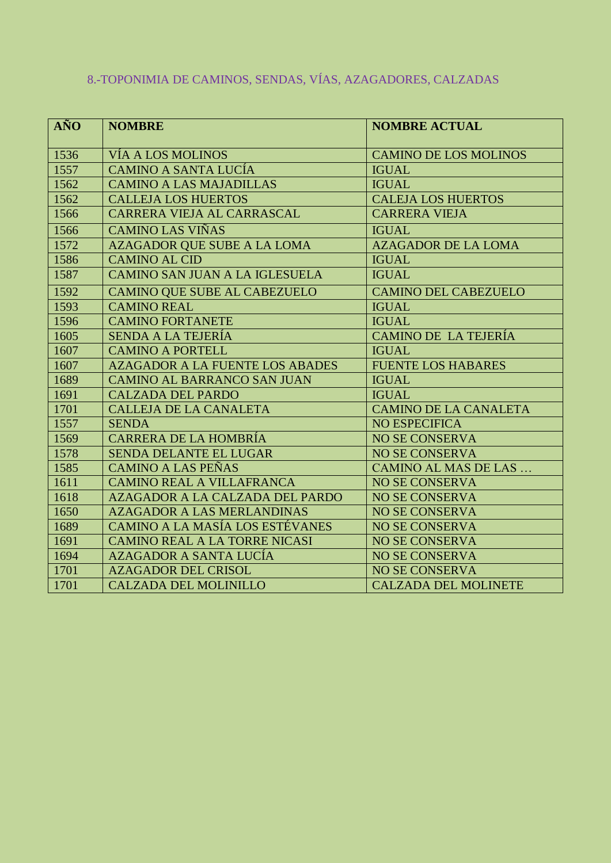| <b>AÑO</b> | <b>NOMBRE</b>                          | <b>NOMBRE ACTUAL</b>         |
|------------|----------------------------------------|------------------------------|
| 1536       | <b>VÍA A LOS MOLINOS</b>               | <b>CAMINO DE LOS MOLINOS</b> |
| 1557       | <b>CAMINO A SANTA LUCÍA</b>            | <b>IGUAL</b>                 |
| 1562       | <b>CAMINO A LAS MAJADILLAS</b>         | <b>IGUAL</b>                 |
| 1562       | <b>CALLEJA LOS HUERTOS</b>             | <b>CALEJA LOS HUERTOS</b>    |
| 1566       | CARRERA VIEJA AL CARRASCAL             | <b>CARRERA VIEJA</b>         |
| 1566       | <b>CAMINO LAS VIÑAS</b>                | <b>IGUAL</b>                 |
| 1572       | <b>AZAGADOR QUE SUBE A LA LOMA</b>     | <b>AZAGADOR DE LA LOMA</b>   |
| 1586       | <b>CAMINO AL CID</b>                   | <b>IGUAL</b>                 |
| 1587       | CAMINO SAN JUAN A LA IGLESUELA         | <b>IGUAL</b>                 |
| 1592       | <b>CAMINO QUE SUBE AL CABEZUELO</b>    | <b>CAMINO DEL CABEZUELO</b>  |
| 1593       | <b>CAMINO REAL</b>                     | <b>IGUAL</b>                 |
| 1596       | <b>CAMINO FORTANETE</b>                | <b>IGUAL</b>                 |
| 1605       | <b>SENDA A LA TEJERÍA</b>              | <b>CAMINO DE LA TEJERÍA</b>  |
| 1607       | <b>CAMINO A PORTELL</b>                | <b>IGUAL</b>                 |
| 1607       | <b>AZAGADOR A LA FUENTE LOS ABADES</b> | <b>FUENTE LOS HABARES</b>    |
| 1689       | <b>CAMINO AL BARRANCO SAN JUAN</b>     | <b>IGUAL</b>                 |
| 1691       | <b>CALZADA DEL PARDO</b>               | <b>IGUAL</b>                 |
| 1701       | <b>CALLEJA DE LA CANALETA</b>          | <b>CAMINO DE LA CANALETA</b> |
| 1557       | <b>SENDA</b>                           | <b>NO ESPECIFICA</b>         |
| 1569       | <b>CARRERA DE LA HOMBRÍA</b>           | <b>NO SE CONSERVA</b>        |
| 1578       | <b>SENDA DELANTE EL LUGAR</b>          | <b>NO SE CONSERVA</b>        |
| 1585       | <b>CAMINO A LAS PEÑAS</b>              | <b>CAMINO AL MAS DE LAS</b>  |
| 1611       | <b>CAMINO REAL A VILLAFRANCA</b>       | <b>NO SE CONSERVA</b>        |
| 1618       | <b>AZAGADOR A LA CALZADA DEL PARDO</b> | <b>NO SE CONSERVA</b>        |
| 1650       | <b>AZAGADOR A LAS MERLANDINAS</b>      | <b>NO SE CONSERVA</b>        |
| 1689       | <b>CAMINO A LA MASÍA LOS ESTÉVANES</b> | <b>NO SE CONSERVA</b>        |
| 1691       | <b>CAMINO REAL A LA TORRE NICASI</b>   | <b>NO SE CONSERVA</b>        |
| 1694       | <b>AZAGADOR A SANTA LUCÍA</b>          | <b>NO SE CONSERVA</b>        |
| 1701       | <b>AZAGADOR DEL CRISOL</b>             | <b>NO SE CONSERVA</b>        |
| 1701       | <b>CALZADA DEL MOLINILLO</b>           | <b>CALZADA DEL MOLINETE</b>  |